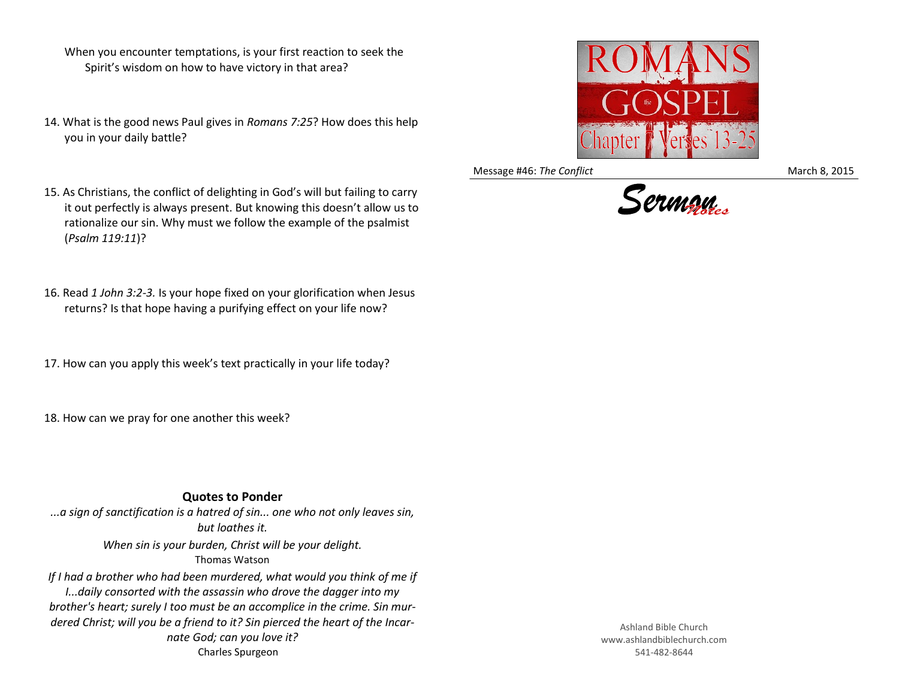- When you encounter temptations, is your first reaction to seek the Spirit's wisdom on how to have victory in that area?
- 14. What is the good news Paul gives in *Romans 7:25*? How does this help you in your daily battle?
- 15. As Christians, the conflict of delighting in God's will but failing to carry it out perfectly is always present. But knowing this doesn't allow us to rationalize our sin. Why must we follow the example of the psalmist (*Psalm 119:11*)?
- 16. Read *1 John 3:2-3.* Is your hope fixed on your glorification when Jesus returns? Is that hope having a purifying effect on your life now?
- 17. How can you apply this week's text practically in your life today?
- 18. How can we pray for one another this week?

## **Quotes to Ponder**

*...a sign of sanctification is a hatred of sin... one who not only leaves sin, but loathes it. When sin is your burden, Christ will be your delight.*  Thomas Watson If I had a brother who had been murdered, what would you think of me if

*I...daily consorted with the assassin who drove the dagger into my brother's heart; surely I too must be an accomplice in the crime. Sin murdered Christ; will you be a friend to it? Sin pierced the heart of the Incarnate God; can you love it?* Charles Spurgeon



Message #46: *The Conflict* March 8, 2015



Ashland Bible Church www.ashlandbiblechurch.com 541-482-8644